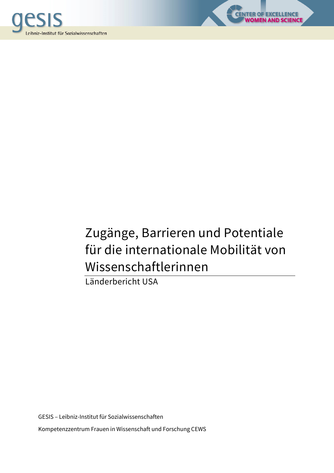



LENCE<br>SCIENCE

Länderbericht USA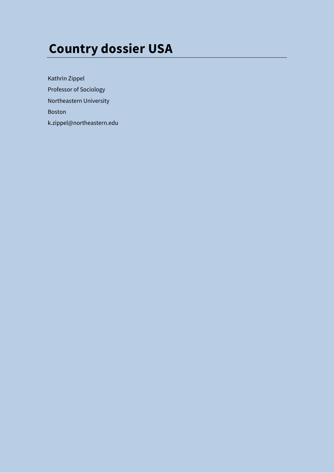# **Country dossier USA**

Kathrin Zippel Professor of Sociology Northeastern University Boston k.zippel@northeastern.edu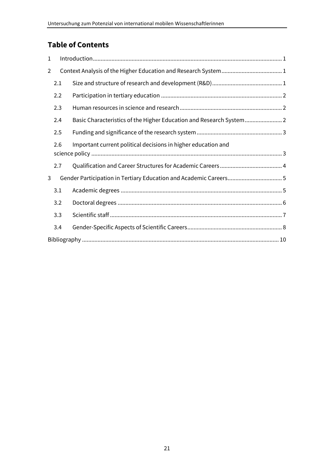# **Table of Contents**

| $\mathbf{1}$   |     |                                                                     |  |  |  |
|----------------|-----|---------------------------------------------------------------------|--|--|--|
| $\overline{2}$ |     |                                                                     |  |  |  |
|                | 2.1 |                                                                     |  |  |  |
|                | 2.2 |                                                                     |  |  |  |
|                | 2.3 |                                                                     |  |  |  |
|                | 2.4 | Basic Characteristics of the Higher Education and Research System 2 |  |  |  |
|                | 2.5 |                                                                     |  |  |  |
|                | 2.6 | Important current political decisions in higher education and       |  |  |  |
|                | 2.7 |                                                                     |  |  |  |
| 3              |     |                                                                     |  |  |  |
|                | 3.1 |                                                                     |  |  |  |
|                | 3.2 |                                                                     |  |  |  |
|                | 3.3 |                                                                     |  |  |  |
|                | 3.4 |                                                                     |  |  |  |
|                |     |                                                                     |  |  |  |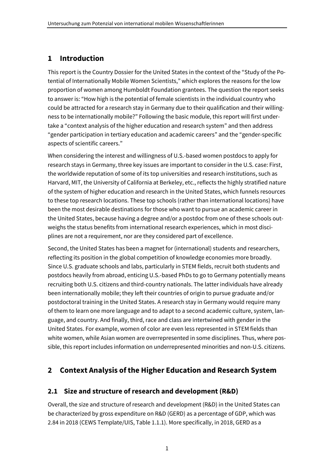## **1 Introduction**

This report is the Country Dossier for the United States in the context of the "Study of the Potential of Internationally Mobile Women Scientists," which explores the reasons for the low proportion of women among Humboldt Foundation grantees. The question the report seeks to answer is: "How high is the potential of female scientists in the individual country who could be attracted for a research stay in Germany due to their qualification and their willingness to be internationally mobile?" Following the basic module, this report will first undertake a "context analysis of the higher education and research system" and then address "gender participation in tertiary education and academic careers" and the "gender-specific aspects of scientific careers."

When considering the interest and willingness of U.S.-based women postdocs to apply for research stays in Germany, three key issues are important to consider in the U.S. case: First, the worldwide reputation of some of its top universities and research institutions, such as Harvard, MIT, the University of California at Berkeley, etc., reflects the highly stratified nature of the system of higher education and research in the United States, which funnels resources to these top research locations. These top schools (rather than international locations) have been the most desirable destinations for those who want to pursue an academic career in the United States, because having a degree and/or a postdoc from one of these schools outweighs the status benefits from international research experiences, which in most disciplines are not a requirement, nor are they considered part of excellence.

Second, the United States has been a magnet for (international) students and researchers, reflecting its position in the global competition of knowledge economies more broadly. Since U.S. graduate schools and labs, particularly in STEM fields, recruit both students and postdocs heavily from abroad, enticing U.S.-based PhDs to go to Germany potentially means recruiting both U.S. citizens and third-country nationals. The latter individuals have already been internationally mobile; they left their countries of origin to pursue graduate and/or postdoctoral training in the United States. A research stay in Germany would require many of them to learn one more language and to adapt to a second academic culture, system, language, and country. And finally, third, race and class are intertwined with gender in the United States. For example, women of color are even less represented in STEM fields than white women, while Asian women are overrepresented in some disciplines. Thus, where possible, this report includes information on underrepresented minorities and non-U.S. citizens.

## **2 Context Analysis of the Higher Education and Research System**

## **2.1 Size and structure of research and development (R&D)**

Overall, the size and structure of research and development (R&D) in the United States can be characterized by gross expenditure on R&D (GERD) as a percentage of GDP, which was 2.84 in 2018 (CEWS Template/UIS, Table 1.1.1). More specifically, in 2018, GERD as a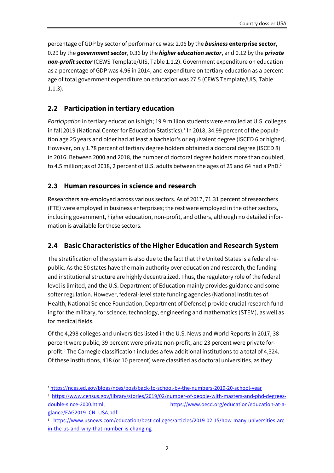percentage of GDP by sector of performance was: 2.06 by the *business* **enterprise sector**, 0.29 by the *government sector*, 0.36 by the *higher education sector*, and 0.12 by the *private non-profit sector* (CEWS Template/UIS, Table 1.1.2). Government expenditure on education as a percentage of GDP was 4.96 in 2014, and expenditure on tertiary education as a percentage of total government expenditure on education was 27.5 (CEWS Template/UIS, Table 1.1.3).

### **2.2 Participation in tertiary education**

*Participation* in tertiary education is high; 19.9 million students were enrolled at U.S. colleges in fall 2019 (National Center for Education Statistics).<sup>1</sup> In 2018, 34.99 percent of the population age 25 years and older had at least a bachelor's or equivalent degree (ISCED 6 or higher). However, only 1.78 percent of tertiary degree holders obtained a doctoral degree (ISCED 8) in 2016. Between 2000 and 2018, the number of doctoral degree holders more than doubled, to 4.5 million; as of 2018, 2 percent of U.S. adults between the ages of 25 and 64 had a PhD.<sup>2</sup>

#### **2.3 Human resources in science and research**

Researchers are employed across various sectors. As of 2017, 71.31 percent of researchers (FTE) were employed in business enterprises; the rest were employed in the other sectors, including government, higher education, non-profit, and others, although no detailed information is available for these sectors.

#### **2.4 Basic Characteristics of the Higher Education and Research System**

The stratification of the system is also due to the fact that the United States is a federal republic. As the 50 states have the main authority over education and research, the funding and institutional structure are highly decentralized. Thus, the regulatory role of the federal level is limited, and the U.S. Department of Education mainly provides guidance and some softer regulation. However, federal-level state funding agencies (National Institutes of Health, National Science Foundation, Department of Defense) provide crucial research funding for the military, for science, technology, engineering and mathematics (STEM), as well as for medical fields.

Of the 4,298 colleges and universities listed in the U.S. News and World Reports in 2017, 38 percent were public, 39 percent were private non-profit, and 23 percent were private forprofit.<sup>3</sup> The Carnegie classification includes a few additional institutions to a total of 4,324. Of these institutions, 418 (or 10 percent) were classified as doctoral universities, as they

<sup>1</sup> https://nces.ed.gov/blogs/nces/post/back-to-school-by-the-numbers-2019-20-school-year

<sup>&</sup>lt;sup>2</sup> https://www.census.gov/library/stories/2019/02/number-of-people-with-masters-and-phd-degreesdouble-since-2000.html; https://www.oecd.org/education/education-at-a-

glance/EAG2019\_CN\_USA.pdf

<sup>3</sup> https://www.usnews.com/education/best-colleges/articles/2019-02-15/how-many-universities-arein-the-us-and-why-that-number-is-changing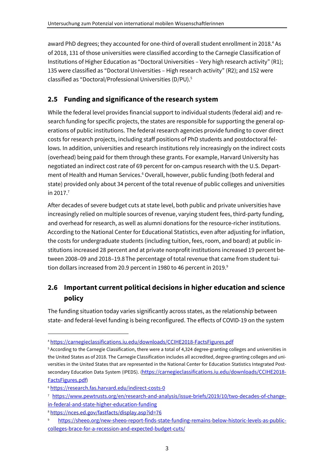award PhD degrees; they accounted for one-third of overall student enrollment in 2018.<sup>4</sup> As of 2018, 131 of those universities were classified according to the Carnegie Classification of Institutions of Higher Education as "Doctoral Universities – Very high research activity" (R1); 135 were classified as "Doctoral Universities – High research activity" (R2); and 152 were classified as "Doctoral/Professional Universities (D/PU).<sup>5</sup>

## **2.5 Funding and significance of the research system**

While the federal level provides financial support to individual students (federal aid) and research funding for specific projects, the states are responsible for supporting the general operations of public institutions. The federal research agencies provide funding to cover direct costs for research projects, including staff positions of PhD students and postdoctoral fellows. In addition, universities and research institutions rely increasingly on the indirect costs (overhead) being paid for them through these grants. For example, Harvard University has negotiated an indirect cost rate of 69 percent for on-campus research with the U.S. Department of Health and Human Services.<sup>6</sup> Overall, however, public funding (both federal and state) provided only about 34 percent of the total revenue of public colleges and universities in  $2017.<sup>7</sup>$ 

After decades of severe budget cuts at state level, both public and private universities have increasingly relied on multiple sources of revenue, varying student fees, third-party funding, and overhead for research, as well as alumni donations for the resource-richer institutions. According to the National Center for Educational Statistics, even after adjusting for inflation, the costs for undergraduate students (including tuition, fees, room, and board) at public institutions increased 28 percent and at private nonprofit institutions increased 19 percent between 2008–09 and 2018–19.8The percentage of total revenue that came from student tuition dollars increased from 20.9 percent in 1980 to 46 percent in 2019.<sup>9</sup>

## **2.6 Important current political decisions in higher education and science policy**

The funding situation today varies significantly across states, as the relationship between state- and federal-level funding is being reconfigured. The effects of COVID-19 on the system

<sup>4</sup> https://carnegieclassifications.iu.edu/downloads/CCIHE2018-FactsFigures.pdf

<sup>5</sup> According to the Carnegie Classification, there were a total of 4,324 degree-granting colleges and universities in the United States as of 2018. The Carnegie Classification includes all accredited, degree-granting colleges and universities in the United States that are represented in the National Center for Education Statistics Integrated Postsecondary Education Data System (IPEDS). (https://carnegieclassifications.iu.edu/downloads/CCIHE2018-FactsFigures.pdf)

<sup>6</sup> https://research.fas.harvard.edu/indirect-costs-0

<sup>7</sup> https://www.pewtrusts.org/en/research-and-analysis/issue-briefs/2019/10/two-decades-of-changein-federal-and-state-higher-education-funding

<sup>8</sup> https://nces.ed.gov/fastfacts/display.asp?id=76

https://sheeo.org/new-sheeo-report-finds-state-funding-remains-below-historic-levels-as-publiccolleges-brace-for-a-recession-and-expected-budget-cuts/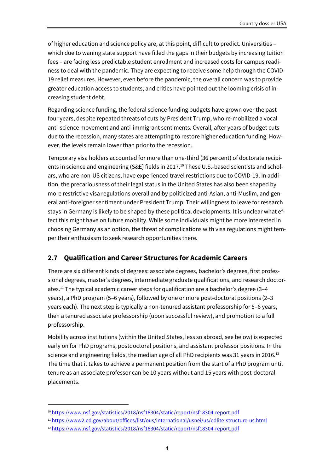of higher education and science policy are, at this point, difficult to predict. Universities – which due to waning state support have filled the gaps in their budgets by increasing tuition fees – are facing less predictable student enrollment and increased costs for campus readiness to deal with the pandemic. They are expecting to receive some help through the COVID-19 relief measures. However, even before the pandemic, the overall concern was to provide greater education access to students, and critics have pointed out the looming crisis of increasing student debt.

Regarding science funding, the federal science funding budgets have grown over the past four years, despite repeated threats of cuts by President Trump, who re-mobilized a vocal anti-science movement and anti-immigrant sentiments. Overall, after years of budget cuts due to the recession, many states are attempting to restore higher education funding. However, the levels remain lower than prior to the recession.

Temporary visa holders accounted for more than one-third (36 percent) of doctorate recipients in science and engineering (S&E) fields in 2017.<sup>10</sup> These U.S.-based scientists and scholars, who are non-US citizens, have experienced travel restrictions due to COVID-19. In addition, the precariousness of their legal status in the United States has also been shaped by more restrictive visa regulations overall and by politicized anti-Asian, anti-Muslim, and general anti-foreigner sentiment under President Trump. Their willingness to leave for research stays in Germany is likely to be shaped by these political developments. It is unclear what effect this might have on future mobility. While some individuals might be more interested in choosing Germany as an option, the threat of complications with visa regulations might temper their enthusiasm to seek research opportunities there.

#### **2.7 Qualification and Career Structures for Academic Careers**

There are six different kinds of degrees: associate degrees, bachelor's degrees, first professional degrees, master's degrees, intermediate graduate qualifications, and research doctorates.<sup>11</sup> The typical academic career steps for qualification are a bachelor's degree (3–4 years), a PhD program (5–6 years), followed by one or more post-doctoral positions (2–3 years each). The next step is typically a non-tenured assistant professorship for 5–6 years, then a tenured associate professorship (upon successful review), and promotion to a full professorship.

Mobility across institutions (within the United States, less so abroad, see below) is expected early on for PhD programs, postdoctoral positions, and assistant professor positions. In the science and engineering fields, the median age of all PhD recipients was 31 years in 2016.<sup>12</sup> The time that it takes to achieve a permanent position from the start of a PhD program until tenure as an associate professor can be 10 years without and 15 years with post-doctoral placements.

<sup>10</sup> https://www.nsf.gov/statistics/2018/nsf18304/static/report/nsf18304-report.pdf

<sup>11</sup> https://www2.ed.gov/about/offices/list/ous/international/usnei/us/edlite-structure-us.html

<sup>12</sup> https://www.nsf.gov/statistics/2018/nsf18304/static/report/nsf18304-report.pdf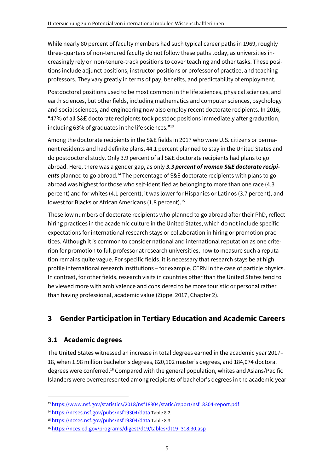While nearly 80 percent of faculty members had such typical career paths in 1969, roughly three-quarters of non-tenured faculty do not follow these paths today, as universities increasingly rely on non-tenure-track positions to cover teaching and other tasks. These positions include adjunct positions, instructor positions or professor of practice, and teaching professors. They vary greatly in terms of pay, benefits, and predictability of employment.

Postdoctoral positions used to be most common in the life sciences, physical sciences, and earth sciences, but other fields, including mathematics and computer sciences, psychology and social sciences, and engineering now also employ recent doctorate recipients. In 2016, "47% of all S&E doctorate recipients took postdoc positions immediately after graduation, including 63% of graduates in the life sciences."<sup>13</sup>

Among the doctorate recipients in the S&E fields in 2017 who were U.S. citizens or permanent residents and had definite plans, 44.1 percent planned to stay in the United States and do postdoctoral study. Only 3.9 percent of all S&E doctorate recipients had plans to go abroad. Here, there was a gender gap, as only *3.3 percent of women S&E doctorate recipi*ents planned to go abroad.<sup>14</sup> The percentage of S&E doctorate recipients with plans to go abroad was highest for those who self-identified as belonging to more than one race (4.3 percent) and for whites (4.1 percent); it was lower for Hispanics or Latinos (3.7 percent), and lowest for Blacks or African Americans (1.8 percent).<sup>15</sup>

These low numbers of doctorate recipients who planned to go abroad after their PhD, reflect hiring practices in the academic culture in the United States, which do not include specific expectations for international research stays or collaboration in hiring or promotion practices. Although it is common to consider national and international reputation as one criterion for promotion to full professor at research universities, how to measure such a reputation remains quite vague. For specific fields, it is necessary that research stays be at high profile international research institutions – for example, CERN in the case of particle physics. In contrast, for other fields, research visits in countries other than the United States tend to be viewed more with ambivalence and considered to be more touristic or personal rather than having professional, academic value (Zippel 2017, Chapter 2).

## **3 Gender Participation in Tertiary Education and Academic Careers**

## **3.1 Academic degrees**

The United States witnessed an increase in total degrees earned in the academic year 2017– 18, when 1.98 million bachelor's degrees, 820,102 master's degrees, and 184,074 doctoral degrees were conferred.<sup>16</sup> Compared with the general population, whites and Asians/Pacific Islanders were overrepresented among recipients of bachelor's degrees in the academic year

<sup>13</sup> https://www.nsf.gov/statistics/2018/nsf18304/static/report/nsf18304-report.pdf

<sup>14</sup> https://ncses.nsf.gov/pubs/nsf19304/data Table 8.2.

<sup>15</sup> https://ncses.nsf.gov/pubs/nsf19304/data Table 8.3.

<sup>16</sup> https://nces.ed.gov/programs/digest/d19/tables/dt19\_318.30.asp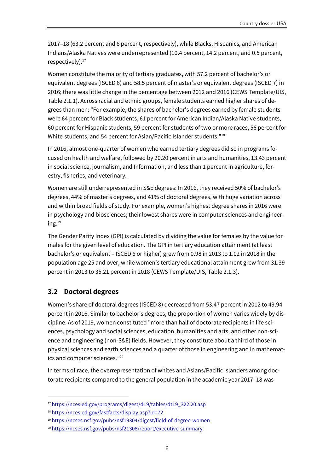2017–18 (63.2 percent and 8 percent, respectively), while Blacks, Hispanics, and American Indians/Alaska Natives were underrepresented (10.4 percent, 14.2 percent, and 0.5 percent, respectively).<sup>17</sup>

Women constitute the majority of tertiary graduates, with 57.2 percent of bachelor's or equivalent degrees (ISCED 6) and 58.5 percent of master's or equivalent degrees (ISCED 7) in 2016; there was little change in the percentage between 2012 and 2016 (CEWS Template/UIS, Table 2.1.1). Across racial and ethnic groups, female students earned higher shares of degrees than men: "For example, the shares of bachelor's degrees earned by female students were 64 percent for Black students, 61 percent for American Indian/Alaska Native students, 60 percent for Hispanic students, 59 percent for students of two or more races, 56 percent for White students, and 54 percent for Asian/Pacific Islander students."<sup>18</sup>

In 2016, almost one-quarter of women who earned tertiary degrees did so in programs focused on health and welfare, followed by 20.20 percent in arts and humanities, 13.43 percent in social science, journalism, and Information, and less than 1 percent in agriculture, forestry, fisheries, and veterinary.

Women are still underrepresented in S&E degrees: In 2016, they received 50% of bachelor's degrees, 44% of master's degrees, and 41% of doctoral degrees, with huge variation across and within broad fields of study. For example, women's highest degree shares in 2016 were in psychology and biosciences; their lowest shares were in computer sciences and engineering. $^{19}$ 

The Gender Parity Index (GPI) is calculated by dividing the value for females by the value for males for the given level of education. The GPI in tertiary education attainment (at least bachelor's or equivalent – ISCED 6 or higher) grew from 0.98 in 2013 to 1.02 in 2018 in the population age 25 and over, while women's tertiary educational attainment grew from 31.39 percent in 2013 to 35.21 percent in 2018 (CEWS Template/UIS, Table 2.1.3).

#### **3.2 Doctoral degrees**

Women's share of doctoral degrees (ISCED 8) decreased from 53.47 percent in 2012 to 49.94 percent in 2016. Similar to bachelor's degrees, the proportion of women varies widely by discipline. As of 2019, women constituted "more than half of doctorate recipients in life sciences, psychology and social sciences, education, humanities and arts, and other non-science and engineering (non-S&E) fields. However, they constitute about a third of those in physical sciences and earth sciences and a quarter of those in engineering and in mathematics and computer sciences."<sup>20</sup>

In terms of race, the overrepresentation of whites and Asians/Pacific Islanders among doctorate recipients compared to the general population in the academic year 2017–18 was

<sup>17</sup> https://nces.ed.gov/programs/digest/d19/tables/dt19\_322.20.asp

<sup>18</sup> https://nces.ed.gov/fastfacts/display.asp?id=72

<sup>&</sup>lt;sup>19</sup> https://ncses.nsf.gov/pubs/nsf19304/digest/field-of-degree-women

<sup>20</sup> https://ncses.nsf.gov/pubs/nsf21308/report/executive-summary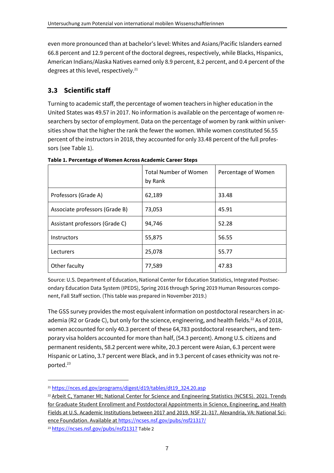even more pronounced than at bachelor's level: Whites and Asians/Pacific Islanders earned 66.8 percent and 12.9 percent of the doctoral degrees, respectively, while Blacks, Hispanics, American Indians/Alaska Natives earned only 8.9 percent, 8.2 percent, and 0.4 percent of the degrees at this level, respectively.<sup>21</sup>

## **3.3 Scientific staff**

Turning to academic staff, the percentage of women teachers in higher education in the United States was 49.57 in 2017. No information is available on the percentage of women researchers by sector of employment. Data on the percentage of women by rank within universities show that the higher the rank the fewer the women. While women constituted 56.55 percent of the instructors in 2018, they accounted for only 33.48 percent of the full professors (see Table 1).

|                                | <b>Total Number of Women</b><br>by Rank | Percentage of Women |
|--------------------------------|-----------------------------------------|---------------------|
| Professors (Grade A)           | 62,189                                  | 33.48               |
| Associate professors (Grade B) | 73,053                                  | 45.91               |
| Assistant professors (Grade C) | 94,746                                  | 52.28               |
| <b>Instructors</b>             | 55,875                                  | 56.55               |
| Lecturers                      | 25,078                                  | 55.77               |
| Other faculty                  | 77,589                                  | 47.83               |

**Table 1. Percentage of Women Across Academic Career Steps** 

Source: U.S. Department of Education, National Center for Education Statistics, Integrated Postsecondary Education Data System (IPEDS), Spring 2016 through Spring 2019 Human Resources component, Fall Staff section. (This table was prepared in November 2019.)

The GSS survey provides the most equivalent information on postdoctoral researchers in academia (R2 or Grade C), but only for the science, engineering, and health fields.<sup>22</sup> As of 2018, women accounted for only 40.3 percent of these 64,783 postdoctoral researchers, and temporary visa holders accounted for more than half, (54.3 percent). Among U.S. citizens and permanent residents, 58.2 percent were white, 20.3 percent were Asian, 6.3 percent were Hispanic or Latino, 3.7 percent were Black, and in 9.3 percent of cases ethnicity was not reported. 23

<sup>&</sup>lt;sup>21</sup> https://nces.ed.gov/programs/digest/d19/tables/dt19\_324.20.asp

<sup>&</sup>lt;sup>22</sup> Arbeit C, Yamaner MI; National Center for Science and Engineering Statistics (NCSES). 2021. Trends for Graduate Student Enrollment and Postdoctoral Appointments in Science, Engineering, and Health Fields at U.S. Academic Institutions between 2017 and 2019. NSF 21-317. Alexandria, VA: National Science Foundation. Available at https://ncses.nsf.gov/pubs/nsf21317/

<sup>23</sup> https://ncses.nsf.gov/pubs/nsf21317 Table 2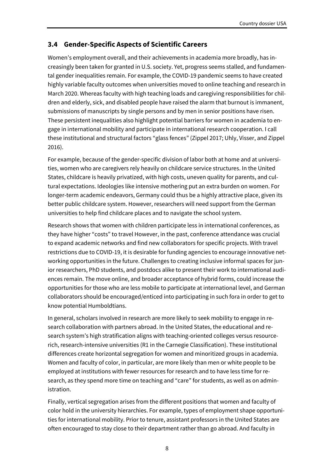### **3.4 Gender-Specific Aspects of Scientific Careers**

Women's employment overall, and their achievements in academia more broadly, has increasingly been taken for granted in U.S. society. Yet, progress seems stalled, and fundamental gender inequalities remain. For example, the COVID-19 pandemic seems to have created highly variable faculty outcomes when universities moved to online teaching and research in March 2020. Whereas faculty with high teaching loads and caregiving responsibilities for children and elderly, sick, and disabled people have raised the alarm that burnout is immanent, submissions of manuscripts by single persons and by men in senior positions have risen. These persistent inequalities also highlight potential barriers for women in academia to engage in international mobility and participate in international research cooperation. I call these institutional and structural factors "glass fences" (Zippel 2017; Uhly, Visser, and Zippel 2016).

For example, because of the gender-specific division of labor both at home and at universities, women who are caregivers rely heavily on childcare service structures. In the United States, childcare is heavily privatized, with high costs, uneven quality for parents, and cultural expectations. Ideologies like intensive mothering put an extra burden on women. For longer-term academic endeavors, Germany could thus be a highly attractive place, given its better public childcare system. However, researchers will need support from the German universities to help find childcare places and to navigate the school system.

Research shows that women with children participate less in international conferences, as they have higher "costs" to travel However, in the past, conference attendance was crucial to expand academic networks and find new collaborators for specific projects. With travel restrictions due to COVID-19, it is desirable for funding agencies to encourage innovative networking opportunities in the future. Challenges to creating inclusive informal spaces for junior researchers, PhD students, and postdocs alike to present their work to international audiences remain. The move online, and broader acceptance of hybrid forms, could increase the opportunities for those who are less mobile to participate at international level, and German collaborators should be encouraged/enticed into participating in such fora in order to get to know potential Humboldtians.

In general, scholars involved in research are more likely to seek mobility to engage in research collaboration with partners abroad. In the United States, the educational and research system's high stratification aligns with teaching-oriented colleges versus resourcerich, research-intensive universities (R1 in the Carnegie Classification). These institutional differences create horizontal segregation for women and minoritized groups in academia. Women and faculty of color, in particular, are more likely than men or white people to be employed at institutions with fewer resources for research and to have less time for research, as they spend more time on teaching and "care" for students, as well as on administration.

Finally, vertical segregation arises from the different positions that women and faculty of color hold in the university hierarchies. For example, types of employment shape opportunities for international mobility. Prior to tenure, assistant professors in the United States are often encouraged to stay close to their department rather than go abroad. And faculty in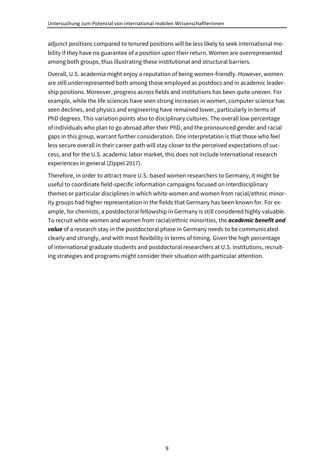adjunct positions compared to tenured positions will be less likely to seek international mobility if they have no guarantee of a position upon their return. Women are overrepresented among both groups, thus illustrating these institutional and structural barriers.

Overall, U.S. academia might enjoy a reputation of being women-friendly. However, women are still underrepresented both among those employed as postdocs and in academic leadership positions. Moreover, progress across fields and institutions has been quite uneven. For example, while the life sciences have seen strong increases in women, computer science has seen declines, and physics and engineering have remained lower, particularly in terms of PhD degrees. This variation points also to disciplinary cultures. The overall low percentage of individuals who plan to go abroad after their PhD, and the pronounced gender and racial gaps in this group, warrant further consideration. One interpretation is that those who feel less secure overall in their career path will stay closer to the perceived expectations of success, and for the U.S. academic labor market, this does not include international research experiences in general (Zippel 2017).

Therefore, in order to attract more U.S.-based women researchers to Germany, it might be useful to coordinate field-specific information campaigns focused on interdisciplinary themes or particular disciplines in which white women and women from racial/ethnic minority groups had higher representation in the fields that Germany has been known for. For example, for chemists, a postdoctoral fellowship in Germany is still considered highly valuable. To recruit white women and women from racial/ethnic minorities, the *academic benefit and value* of a research stay in the postdoctoral phase in Germany needs to be communicated clearly and strongly, and with most flexibility in terms of timing. Given the high percentage of international graduate students and postdoctoral researchers at U.S. institutions, recruiting strategies and programs might consider their situation with particular attention.